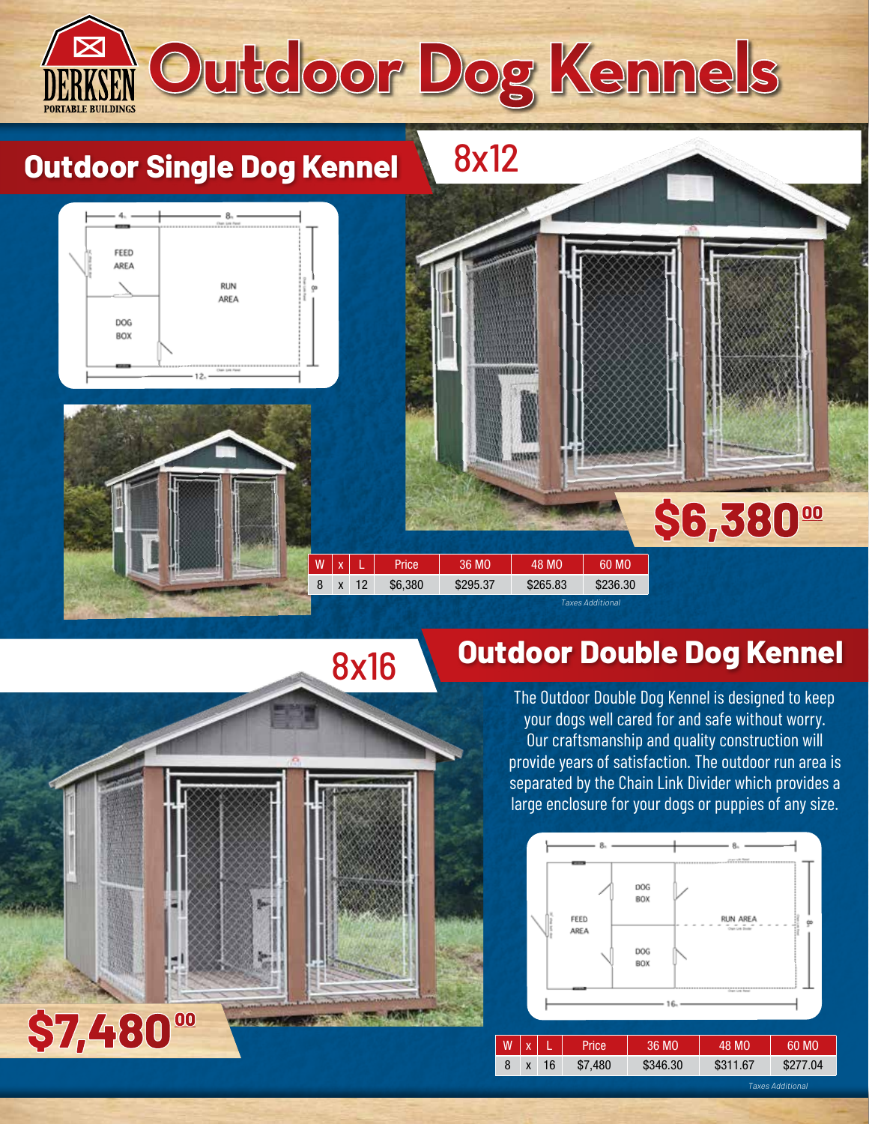

## **Outdoor Double Dog Kennel**

The Outdoor Double Dog Kennel is designed to keep your dogs well cared for and safe without worry. Our craftsmanship and quality construction will provide years of satisfaction. The outdoor run area is separated by the Chain Link Divider which provides a large enclosure for your dogs or puppies of any size.



ĸ

\$7,480<sup>00</sup>